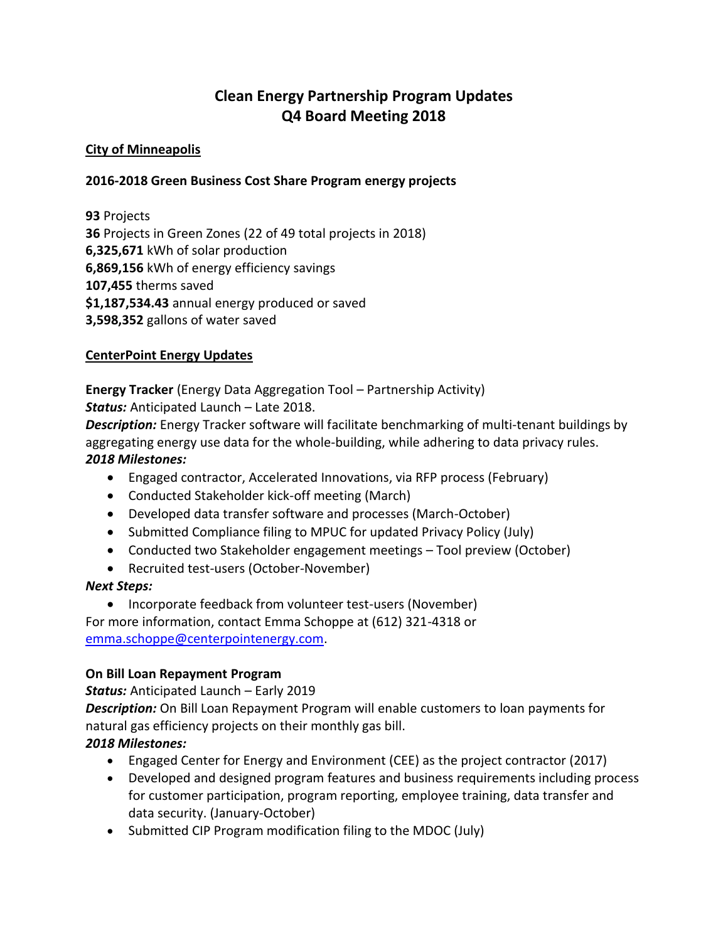# **Clean Energy Partnership Program Updates Q4 Board Meeting 2018**

#### **City of Minneapolis**

#### **2016-2018 Green Business Cost Share Program energy projects**

**93** Projects **36** Projects in Green Zones (22 of 49 total projects in 2018) **6,325,671** kWh of solar production **6,869,156** kWh of energy efficiency savings **107,455** therms saved **\$1,187,534.43** annual energy produced or saved **3,598,352** gallons of water saved

#### **CenterPoint Energy Updates**

**Energy Tracker** (Energy Data Aggregation Tool – Partnership Activity) *Status:* Anticipated Launch – Late 2018.

*Description:* Energy Tracker software will facilitate benchmarking of multi-tenant buildings by aggregating energy use data for the whole-building, while adhering to data privacy rules. *2018 Milestones:*

- Engaged contractor, Accelerated Innovations, via RFP process (February)
- Conducted Stakeholder kick-off meeting (March)
- Developed data transfer software and processes (March-October)
- Submitted Compliance filing to MPUC for updated Privacy Policy (July)
- Conducted two Stakeholder engagement meetings Tool preview (October)
- Recruited test-users (October-November)

#### *Next Steps:*

• Incorporate feedback from volunteer test-users (November) For more information, contact Emma Schoppe at (612) 321-4318 or [emma.schoppe@centerpointenergy.com.](mailto:emma.schoppe@centerpointenergy.com)

### **On Bill Loan Repayment Program**

*Status:* Anticipated Launch – Early 2019

*Description:* On Bill Loan Repayment Program will enable customers to loan payments for natural gas efficiency projects on their monthly gas bill.

### *2018 Milestones:*

- Engaged Center for Energy and Environment (CEE) as the project contractor (2017)
- Developed and designed program features and business requirements including process for customer participation, program reporting, employee training, data transfer and data security. (January-October)
- Submitted CIP Program modification filing to the MDOC (July)